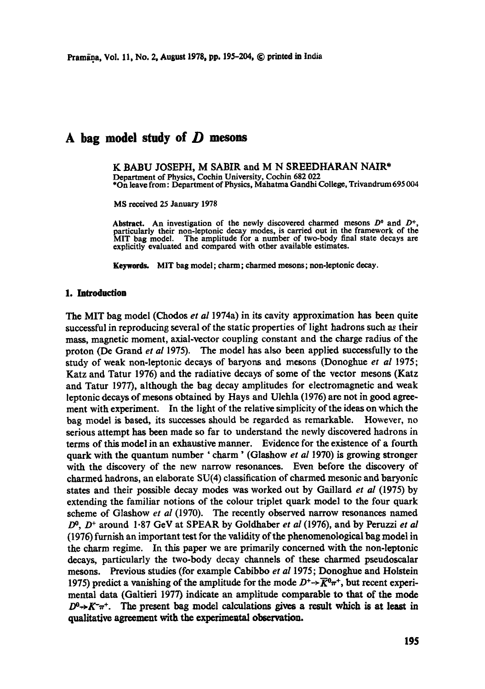# **A bag model study of D mesons**

K BABU JOSEPH, M SABIR and M N SREEDHARAN NAIR\* Department of Physics, Cochin University, Cochin 682 022 \*On leave from: Department of Physics, Mahatma Gandhi College, Trivandrum 695 004

MS received 25 January 1978

Abstract. An investigation of the newly discovered charmed mesons  $D^0$  and  $D^+$ , particularly their non-leptonic decay modes, is carried out in the framework of the MIT bag model. The amplitude for a number of two-body final state decays are explicitly evaluated and compared with other available estimates.

Keywords, MIT bag model; charm; charmed mesons; non-leptonic decay.

## **1. Introduction**

The MIT bag model (Chodos *et al* 1974a) in its cavity approximation has been quite successful in reproducing several of the static properties of light hadrons such as their mass, magnetic moment, axial-vector coupling constant and the charge radius of the proton (De Grand *et al* 1975). The model has also been applied successfully to the study of weak non-leptonic decays of baryons and mesons (Donoghue *et al* 1975; Katz and Tatur 1976) and the radiative decays of some of the vector mesons (Katz and Tatur 1977), although the bag decay amplitudes for electromagnetic and weak leptonic decays of mesons obtained by Hays and Ulehla (1976) are not in good agreement with experiment. In the light of the relative simplicity of the ideas on which the bag model is based, its successes should be regarded as remarkable. However, no serious attempt has been made so far to understand the newly discovered hadrons in terms of this model in an exhaustive manner. Evidence for the existence of a fourth quark with the quantum number ' charm' (Glashow *et al* 1970) is growing stronger with the discovery of the new narrow resonances. Even before the discovery of charmed hadrons, an elaborate SU(4) classification of charmed mesonic and baryonic states and their possible decay modes was worked out by Gaillard *et al* (1975) by extending the familiar notions of the colour triplet quark model to the four quark scheme of Glashow *et al* (1970). The recently observed narrow resonances named D<sup>o</sup>, D<sup>+</sup> around 1.87 GeV at SPEAR by Goldhaber *et al* (1976), and by Peruzzi *et al* (1976) furnish an important test for the validity of the phenomenological bag model in the charm regime. In this paper we are primarily concerned with the non-leptonic decays, particularly the two-body decay channels of these charmed pseudoscalar mesons. Previous studies (for example Cabibbo *et al* 1975; Donoghue and Holstein 1975) predict a vanishing of the amplitude for the mode  $D^+ \rightarrow \overline{K}^0 \pi^+$ , but recent experimental data (Galtieri 1977) indicate an amplitude comparable to that of the mode  $D^0 \rightarrow K^-\pi^+$ . The present bag model calculations gives a result which is at least in qualitative agreement with the experimcatal observation.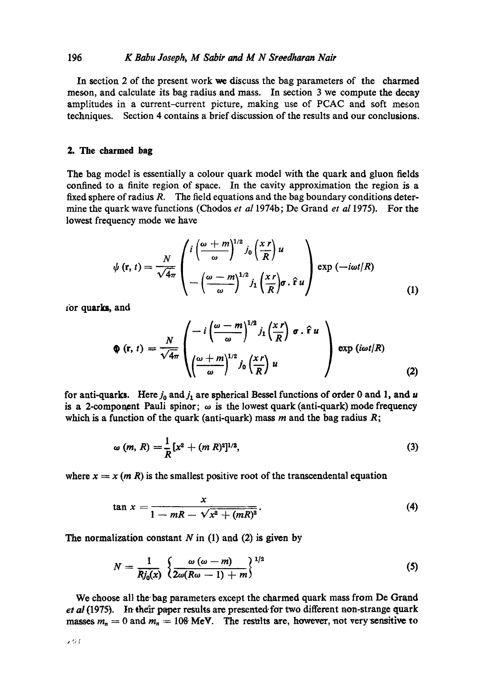## 196 *K Babu Joseph, M Sabir and M N Sreedharan Nair*

In section 2 of the present work we discuss the bag parameters of the charmed meson, and calculate its bag radius and mass. In section 3 we compute the decay amplitudes in a current-current picture, making use of PCAC and soft meson techniques. Section 4 contains a brief discussion of the results and our conclusions.

### **2. The charmed bag**

The bag model is essentially a colour quark model with the quark and gluon fields confined to a finite region of space. In the cavity approximation the region is a fixed sphere of radius R. The field equations and the bag boundary conditions determine the quark wave functions (Chodos *et al* 1974b; De Grand *et a11975).* For the lowest frequency mode we have

$$
\psi(\mathbf{r},t) = \frac{N}{\sqrt{4\pi}} \begin{pmatrix} i\left(\frac{\omega+m}{\omega}\right)^{1/2} j_0\left(\frac{x \, r}{R}\right) u \\ -\left(\frac{\omega-m}{\omega}\right)^{1/2} j_1\left(\frac{x \, r}{R}\right) \sigma \cdot \hat{\mathbf{r}} u \end{pmatrix} \exp\left(-i\omega t/R\right) \tag{1}
$$

zor quarks, and

$$
\Phi(\mathbf{r}, t) = \frac{N}{\sqrt{4\pi}} \left( \frac{-i \left( \frac{\omega - m}{\omega} \right)^{1/2} j_1 \left( \frac{x r}{R} \right) \sigma \cdot \hat{\mathbf{r}} u}{\left( \frac{\omega + m}{\omega} \right)^{1/2} j_0 \left( \frac{x r}{R} \right) u} \right) \exp(i \omega t / R)
$$
(2)

for anti-quarks. Here  $j_0$  and  $j_1$  are spherical Bessel functions of order 0 and 1, and u is a 2-component Pauli spinor;  $\omega$  is the lowest quark (anti-quark) mode frequency which is a function of the quark (anti-quark) mass  $m$  and the bag radius  $R$ ;

$$
\omega(m, R) = \frac{1}{R} [x^2 + (m R)^2]^{1/2}, \tag{3}
$$

where  $x = x$  (*m R*) is the smallest positive root of the transcendental equation

$$
\tan x = \frac{x}{1 - mR - \sqrt{x^2 + (mR)^2}}.
$$
 (4)

The normalization constant  $N$  in (1) and (2) is given by

$$
N = \frac{1}{Rj_0(x)} \left\{ \frac{\omega (\omega - m)}{2\omega (R\omega - 1) + m} \right\}^{1/2}
$$
 (5)

We choose all the bag parameters except the charmed quark mass from De Grand et al (1975). In their paper results are presented for two different non-strange quark masses  $m_n = 0$  and  $m_n = 108$  MeV. The results are, however, not very sensitive to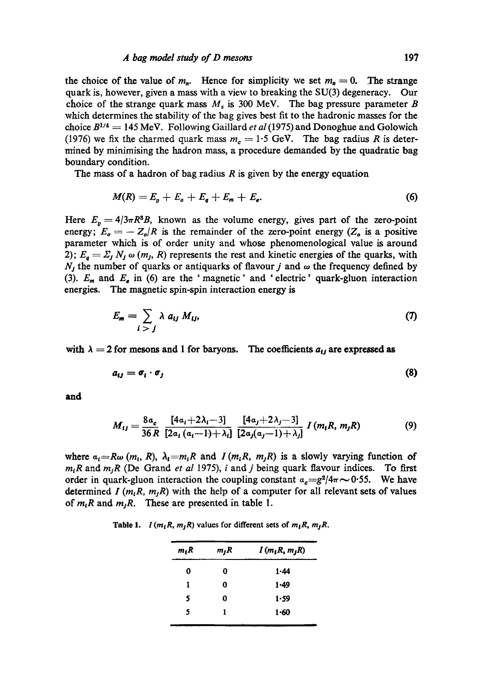#### *A bag model study of D mesons* 197

the choice of the value of  $m_n$ . Hence for simplicity we set  $m_n = 0$ . The strange quark is, however, given a mass with a view to breaking the SU(3) degeneracy. Our choice of the strange quark mass  $M_s$  is 300 MeV. The bag pressure parameter B which determines the stability of the bag gives best fit to the hadronic masses for the choice  $B^{1/4} = 145$  MeV. Following Gaillard *et al* (1975) and Donoghue and Golowich (1976) we fix the charmed quark mass  $m<sub>c</sub> = 1.5$  GeV. The bag radius R is determined by minimising the hadron mass, a procedure demanded by the quadratic bag boundary condition.

The mass of a hadron of bag radius  $R$  is given by the energy equation

$$
M(R)=E_p+E_o+E_q+E_m+E_e.
$$
 (6)

Here  $E_p = 4/3\pi R^3B$ , known as the volume energy, gives part of the zero-point energy;  $E_o = -Z_o/R$  is the remainder of the zero-point energy ( $Z_o$  is a positive parameter which is of order unity and whose phenomenological value is around 2);  $E_q = \Sigma_j N_j \omega(m_j, R)$  represents the rest and kinetic energies of the quarks, with  $N_j$  the number of quarks or antiquarks of flavour j and  $\omega$  the frequency defined by (3).  $E_m$  and  $E_e$  in (6) are the 'magnetic' and 'electric' quark-gluon interaction energies. The magnetic spin-spin interaction energy is

$$
E_m = \sum_{i > j} \lambda \ a_{ij} \ M_{ij}, \tag{7}
$$

with  $\lambda = 2$  for mesons and 1 for baryons. The coefficients  $a_{ij}$  are expressed as

$$
a_{ij} = \sigma_i \cdot \sigma_j \tag{8}
$$

**and** 

$$
M_{ij} = \frac{8a_c}{36R} \frac{[4a_i + 2\lambda_i - 3]}{[2a_i(a_i - 1) + \lambda_i]} \frac{[4a_j + 2\lambda_j - 3]}{[2a_j(a_j - 1) + \lambda_j]} I(m_iR, m_jR)
$$
(9)

where  $a_i=R\omega(m_i, R)$ ,  $\lambda_i=m_iR$  and *I* ( $m_iR$ ,  $m_jR$ ) is a slowly varying function of  $m<sub>1</sub>R$  and  $m<sub>1</sub>R$  (De Grand *et al 1975)*, *i* and *j* being quark flavour indices. To first order in quark-gluon interaction the coupling constant  $a_c = g^2/4\pi \sim 0.55$ . We have determined *I (m<sub>i</sub>R, m<sub>i</sub>R)* with the help of a computer for all relevant sets of values of  $m_iR$  and  $m_jR$ . These are presented in table 1.

**Table 1.** *l*( $m_iR$ ,  $m_jR$ ) values for different sets of  $m_iR$ ,  $m_jR$ .

| $m_j R$ | $I(m_lR, m_jR)$ |  |  |
|---------|-----------------|--|--|
| 0       | 1.44            |  |  |
| 0       | $1 - 49$        |  |  |
| 0       | 1.59            |  |  |
| 1       | $1 - 60$        |  |  |
|         |                 |  |  |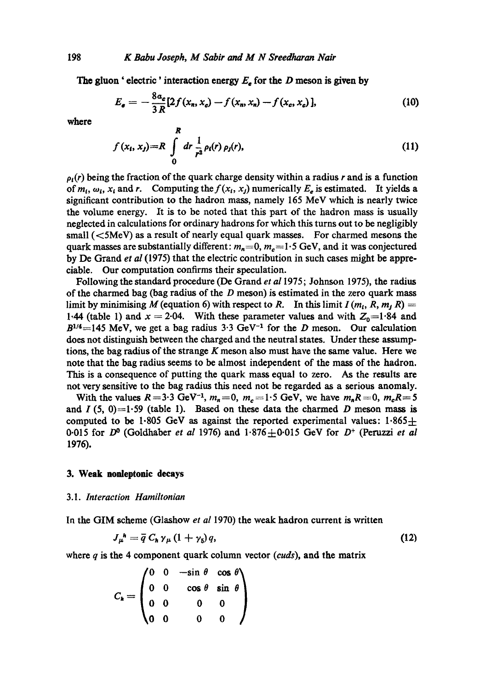The gluon ' electric' interaction energy  $E_e$  for the D meson is given by

$$
E_e = -\frac{8a_e}{3R} [2f(x_n, x_e) - f(x_n, x_n) - f(x_e, x_e)],
$$
 (10)

where

$$
f(x_t, x_j) = R \int_0^R dr \frac{1}{r^2} \rho_t(r) \rho_j(r), \qquad (11)
$$

 $\rho_l(r)$  being the fraction of the quark charge density within a radius r and is a function of  $m_t$ ,  $\omega_t$ ,  $x_t$  and r. Computing the  $f(x_t, x_t)$  numerically  $E_e$  is estimated. It yields a significant contribution to the hadron mass, namely 165 McV which is nearly twice the volume energy. It is to be noted that this part of the hadron mass is usually neglected in calculations for ordinary hadrons for which this turns out to be negligibly small  $(<5MeV$ ) as a result of nearly equal quark masses. For charmed mesons the quark masses are substantially different:  $m_n=0$ ,  $m_c=1.5$  GeV, and it was conjectured by De Grand *et al* (1975) that the electric contribution in such cases might be appreciable. Our computation confirms their speculation.

Following the standard procedure (De Grand *et a11975;* Johnson 1975), the radius of the charmed bag (bag radius of the  $D$  meson) is estimated in the zero quark mass limit by minimising M (equation 6) with respect to R. In this limit  $I(m_t, R, m, R) =$ 1.44 (table 1) and  $x = 2.04$ . With these parameter values and with  $Z_0 = 1.84$  and  $B^{1/4}$ =145 MeV, we get a bag radius 3.3 GeV<sup>-1</sup> for the D meson. Our calculation does not distinguish between the charged and the neutral states. Under these assumptions, the bag radius of the strange  $K$  meson also must have the same value. Here we note that the bag radius seems to bc almost independent of the mass of the hadron. This is a consequence of putting the quark mass equal to zero. As the results are not very sensitive to the bag radius this nccd not be regarded as a serious anomaly.

With the values  $R=3.3$  GeV<sup>-1</sup>,  $m_n=0$ ,  $m_c=1.5$  GeV, we have  $m_nR=0$ ,  $m_cR=5$ and  $I(5, 0)=1.59$  (table 1). Based on these data the charmed D meson mass is computed to be 1.805 GeV as against the reported experimental values:  $1.865 \pm$ 0-015 for  $D^0$  (Goldhaber *et al* 1976) and  $1.876 \pm 0.015$  GeV for  $D^+$  (Peruzzi *et al* 1976).

# **3. Weak nonleptonic decays**

#### 3.1. *Interaction Hamiltonian*

In the GIM scheme (Glashow *et al* 1970) the weak hadron current is written

$$
J_{\mu}^{\ h} = \overline{q} \ C_{h} \gamma_{\mu} \left(1 + \gamma_{5}\right) q, \tag{12}
$$

where q is the 4 component quark column vector *(cuds),* and the matrix

$$
C_{h} = \begin{pmatrix} 0 & 0 & -\sin \theta & \cos \theta \\ 0 & 0 & \cos \theta & \sin \theta \\ 0 & 0 & 0 & 0 \\ 0 & 0 & 0 & 0 \end{pmatrix}
$$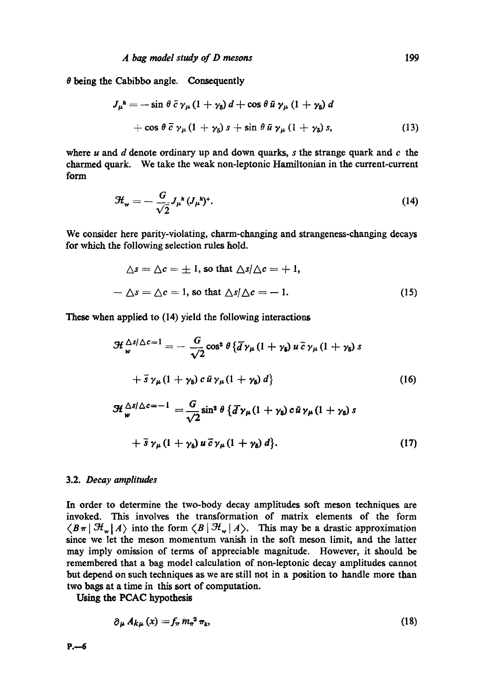$\theta$  being the Cabibbo angle. Consequently

$$
J_{\mu}{}^{\hbar} = -\sin\theta\,\bar{c}\,\gamma_{\mu}\,(1+\gamma_{\delta})\,d + \cos\theta\,\bar{u}\,\gamma_{\mu}\,(1+\gamma_{\delta})\,d
$$
  
+ 
$$
\cos\theta\,\bar{c}\,\gamma_{\mu}\,(1+\gamma_{\delta})\,s + \sin\theta\,\bar{u}\,\gamma_{\mu}\,(1+\gamma_{\delta})\,s,
$$
 (13)

where  $u$  and  $d$  denote ordinary up and down quarks,  $s$  the strange quark and  $c$  the charmed quark. We take the weak non-leptonic Hamiltonian in the current-current form

$$
\mathcal{H}_{\mathbf{w}} = -\frac{G}{\sqrt{2}} J_{\mu}{}^{\mathbf{h}} (J_{\mu}{}^{\mathbf{h}})^{\mathbf{+}}.
$$
 (14)

We consider here parity-violating, charm-changing and strangeness-changing decays for which the following selection rules hold.

$$
\Delta s = \Delta c = \pm 1, \text{ so that } \Delta s / \Delta c = +1,
$$
  

$$
-\Delta s = \Delta c = 1, \text{ so that } \Delta s / \Delta c = -1.
$$
 (15)

These when applied to (14) yield the following interactions

$$
\mathcal{H}_{w}^{\Delta s/\Delta c=1} = -\frac{G}{\sqrt{2}} \cos^{2} \theta \{ \overline{d} \gamma_{\mu} (1 + \gamma_{s}) u \overline{c} \gamma_{\mu} (1 + \gamma_{s}) s
$$
  
+  $\overline{s} \gamma_{\mu} (1 + \gamma_{s}) c \overline{u} \gamma_{\mu} (1 + \gamma_{s}) d \}$  (16)  

$$
\mathcal{H}_{w}^{\Delta s/\Delta c=-1} = \frac{G}{\sqrt{2}} \sin^{2} \theta \{ \overline{d} \gamma_{\mu} (1 + \gamma_{s}) c \overline{u} \gamma_{\mu} (1 + \gamma_{s}) s
$$

$$
+ \bar{s} \gamma_{\mu} (1 + \gamma_5) u \bar{c} \gamma_{\mu} (1 + \gamma_5) d \}. \qquad (17)
$$

# 3.2. *Decay amplitudes*

In order to determine the two-body decay amplitudes soft meson techniques are invoked. This involves the transformation of matrix elements of the form  $\langle B\pi | H_w | A \rangle$  into the form  $\langle B | H_w | A \rangle$ . This may be a drastic approximation since we let the meson momentum vanish in the soft meson limit, and the latter may imply omission of terms of appreciable magnitude. However, it should be remembered that a bag model calculation of non-leptonic decay amplitudes cannot but depend on such techniques as we are still not in a position to handle more than two bags at a time in this sort of computation.

Using the PCAC hypothesis

$$
\partial_{\mu} A_{k\mu}(x) = f_{\pi} m_{\pi}^2 \pi_k, \qquad (18)
$$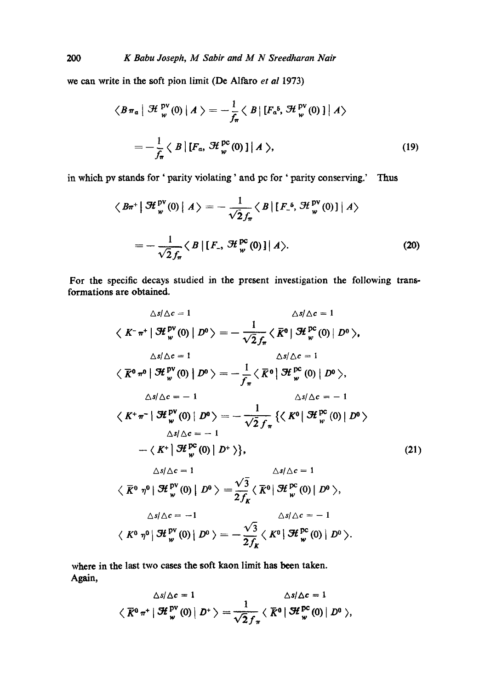we can write in the soft pion limit (De Alfaro *et al* 1973)

$$
\langle B \pi_a | \mathcal{H}_w^{\text{pv}}(0) | A \rangle = -\frac{1}{f_\pi} \langle B | [F_a^5, \mathcal{H}_w^{\text{pv}}(0)] | A \rangle
$$
  
= 
$$
-\frac{1}{f_\pi} \langle B | [F_a, \mathcal{H}_w^{\text{pc}}(0)] | A \rangle,
$$
 (19)

in which pv stands for' *paxity* violating' and pc for ' parity conserving.' Thus

$$
\langle B\pi^+ \left| \mathcal{H}_w^{\text{pv}}(0) \right| A \rangle = -\frac{1}{\sqrt{2}f_\pi} \langle B \left| \left[ F_{-}^{\ 6}, \mathcal{H}_w^{\text{pv}}(0) \right] \right| A \rangle
$$

$$
= -\frac{1}{\sqrt{2}f_\pi} \langle B \left| \left[ F_{-}, \mathcal{H}_w^{\text{pc}}(0) \right] \right| A \rangle. \tag{20}
$$

**For** the specific decays studied in the present investigation the following transformations are obtained.

$$
\Delta s/\Delta c = 1 \qquad \Delta s/\Delta c = 1
$$
  

$$
\langle K^{-} \pi^{+} | \mathcal{H}_{w}^{PV}(0) | D^{0} \rangle = -\frac{1}{\sqrt{2} f_{\pi}} \langle \overline{K}^{0} | \mathcal{H}_{w}^{PC}(0) | D^{0} \rangle,
$$
  

$$
\Delta s/\Delta c = 1 \qquad \Delta s/\Delta c = 1
$$
  

$$
\langle \overline{K}^{0} \pi^{0} | \mathcal{H}_{w}^{PV}(0) | D^{0} \rangle = -\frac{1}{f_{\pi}} \langle \overline{K}^{0} | \mathcal{H}_{w}^{PC}(0) | D^{0} \rangle,
$$
  

$$
\Delta s/\Delta c = -1 \qquad \Delta s/\Delta c = -1
$$
  

$$
\langle K^{+} \pi^{-} | \mathcal{H}_{w}^{PV}(0) | D^{0} \rangle = -\frac{1}{\sqrt{2} f_{\pi}} \{ \langle K^{0} | \mathcal{H}_{w}^{PC}(0) | D^{0} \rangle
$$
  

$$
\Delta s/\Delta c = -1
$$
  

$$
-\langle K^{+} | \mathcal{H}_{w}^{PC}(0) | D^{+} \rangle \}, \qquad \Delta s/\Delta c = 1
$$
  

$$
\langle \overline{K}^{0} \eta^{0} | \mathcal{H}_{w}^{PV}(0) | D^{0} \rangle = \frac{\sqrt{3}}{2 f_{K}} \langle \overline{K}^{0} | \mathcal{H}_{w}^{PC}(0) | D^{0} \rangle,
$$
  

$$
\Delta s/\Delta c = -1 \qquad \Delta s/\Delta c = -1
$$
  

$$
\langle K^{0} \eta^{0} | \mathcal{H}_{w}^{PV}(0) | D^{0} \rangle = -\frac{\sqrt{3}}{2 f_{K}} \langle K^{0} | \mathcal{H}_{w}^{PC}(0) | D^{0} \rangle.
$$
  
(21)

Where in the last two cases the soft kaon limit has been taken. Again,

$$
\triangle s/\triangle c = 1 \qquad \triangle s/\triangle c = 1
$$
  

$$
\langle \overline{K}^0 \pi^+ | \mathcal{H}_w^{\text{pv}}(0) | D^+ \rangle = \frac{1}{\sqrt{2} f_\pi} \langle \overline{K}^0 | \mathcal{H}_w^{\text{pc}}(0) | D^0 \rangle,
$$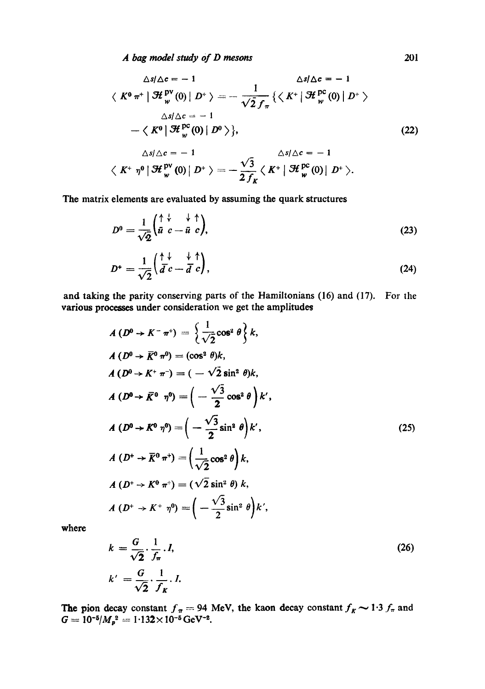*A bag model study Of D mesons* 201

$$
\Delta s/\Delta c = -1 \qquad \Delta s/\Delta c = -1
$$
  

$$
\langle K^0 \pi^+ | \mathcal{H}_w^{pv}(0) | D^+ \rangle = -\frac{1}{\sqrt{2} f_\pi} \{ \langle K^+ | \mathcal{H}_w^{pc}(0) | D^+ \rangle
$$
  

$$
\Delta s/\Delta c = -1
$$
  

$$
-\langle K^0 | \mathcal{H}_w^{pc}(0) | D^0 \rangle \},
$$
  

$$
\Delta s/\Delta c = -1 \qquad \Delta s/\Delta c = -1
$$
  

$$
\langle K^+ \eta^0 | \mathcal{H}_w^{pv}(0) | D^+ \rangle = -\frac{\sqrt{3}}{2 f_K} \langle K^+ | \mathcal{H}_w^{pc}(0) | D^+ \rangle.
$$
 (22)

The matrix elements are evaluated by assuming the quark structures

$$
D^0 = \frac{1}{\sqrt{2}} \begin{pmatrix} \uparrow & \downarrow & \uparrow \\ \bar{u} & c - \bar{u} & c \end{pmatrix},\tag{23}
$$

$$
D^* = \frac{1}{\sqrt{2}} \begin{pmatrix} \uparrow \downarrow & \downarrow & \uparrow \\ \bar{d} \ c - \bar{d} \ c \end{pmatrix},\tag{24}
$$

and taking the parity conserving parts of the Hamiltonians (16) and (17). For the various processes under consideration we get the amplitudes

$$
A(D^0 \rightarrow K^- \pi^+) = \left\{ \frac{1}{\sqrt{2}} \cos^2 \theta \right\} k,
$$
  
\n
$$
A(D^0 \rightarrow \overline{K}^0 \pi^0) = (\cos^2 \theta) k,
$$
  
\n
$$
A(D^0 \rightarrow K^+ \pi^-) = (-\sqrt{2} \sin^2 \theta) k,
$$
  
\n
$$
A(D^0 \rightarrow \overline{K}^0 \pi^0) = \left(-\frac{\sqrt{3}}{2} \cos^2 \theta \right) k',
$$
  
\n
$$
A(D^0 \rightarrow K^0 \pi^0) = \left(-\frac{\sqrt{3}}{2} \sin^2 \theta \right) k',
$$
  
\n
$$
A(D^+ \rightarrow \overline{K}^0 \pi^+) = \left(\frac{1}{\sqrt{2}} \cos^2 \theta \right) k,
$$
  
\n
$$
A(D^+ \rightarrow K^0 \pi^+) = (\sqrt{2} \sin^2 \theta) k,
$$
  
\n
$$
A(D^+ \rightarrow K^+ \pi^0) = (-\frac{\sqrt{3}}{2} \sin^2 \theta) k',
$$
  
\n(25)

where

$$
k = \frac{G}{\sqrt{2}} \cdot \frac{1}{f_{\pi}} \cdot I,
$$
  
\n
$$
k' = \frac{G}{\sqrt{2}} \cdot \frac{1}{f_{K}} \cdot I.
$$
\n(26)

The pion decay constant  $f_{\pi} = 94$  MeV, the kaon decay constant  $f_{K} \sim 1.3 f_{\pi}$  and  $G = 10^{-5}/M_{p}^{2} = 1.132 \times 10^{-5} \,\text{GeV}^{-2}$ .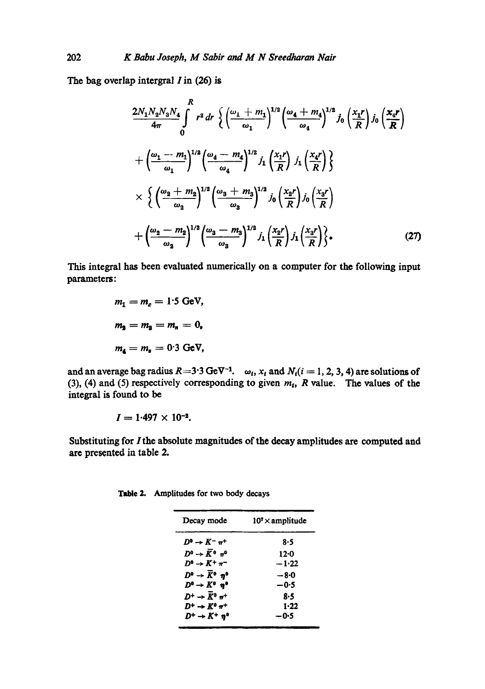The bag overlap intergral I in **(26) is** 

$$
\frac{2N_1N_2N_3N_4}{4\pi}\int_{0}^{R} r^2 dr \left\{ \left( \frac{\omega_1 + m_1}{\omega_1} \right)^{1/2} \left( \frac{\omega_4 + m_4}{\omega_4} \right)^{1/2} j_0 \left( \frac{x_1 r}{R} \right) j_0 \left( \frac{x_4 r}{R} \right) \right\}
$$

$$
+ \left( \frac{\omega_1 - m_1}{\omega_1} \right)^{1/2} \left( \frac{\omega_4 - m_4}{\omega_4} \right)^{1/2} j_1 \left( \frac{x_1 r}{R} \right) j_1 \left( \frac{x_4 r}{R} \right) \left\}
$$

$$
\times \left\{ \left( \frac{\omega_2 + m_2}{\omega_2} \right)^{1/2} \left( \frac{\omega_3 + m_3}{\omega_3} \right)^{1/2} j_0 \left( \frac{x_2 r}{R} \right) j_0 \left( \frac{x_3 r}{R} \right) \right\}
$$

$$
+ \left( \frac{\omega_2 - m_2}{\omega_2} \right)^{1/2} \left( \frac{\omega_3 - m_3}{\omega_3} \right)^{1/2} j_1 \left( \frac{x_2 r}{R} \right) j_1 \left( \frac{x_3 r}{R} \right) \left\}
$$
(27)

This integral has been evaluated numerically on a computer for the following input parameters:

$$
m_1 = m_c = 1.5 \text{ GeV},
$$
  

$$
m_2 = m_3 = m_n = 0,
$$
  

$$
m_4 = m_s = 0.3 \text{ GeV},
$$

and an average bag radius  $R = 3.3$  GeV<sup>-1</sup>.  $\omega_i$ ,  $x_i$  and  $N_i (i = 1, 2, 3, 4)$  are solutions of (3), (4) and (5) respectively corresponding to given  $m_t$ , R value. The values of the integral is found to be

$$
I = 1.497 \times 10^{-2}
$$
.

Substituting for I the absolute magnitudes of the decay amplitudes are computed and are presented in table **2.** 

| Table 2. Amplitudes for two body decays |  |  |
|-----------------------------------------|--|--|
|                                         |  |  |

| $107 \times$ amplitude |  |  |
|------------------------|--|--|
| 8.5                    |  |  |
| 12:0                   |  |  |
| $-1.22$                |  |  |
| -80                    |  |  |
| $-0.5$                 |  |  |
| 8.5                    |  |  |
| $1 - 22$               |  |  |
| —0∙5                   |  |  |
|                        |  |  |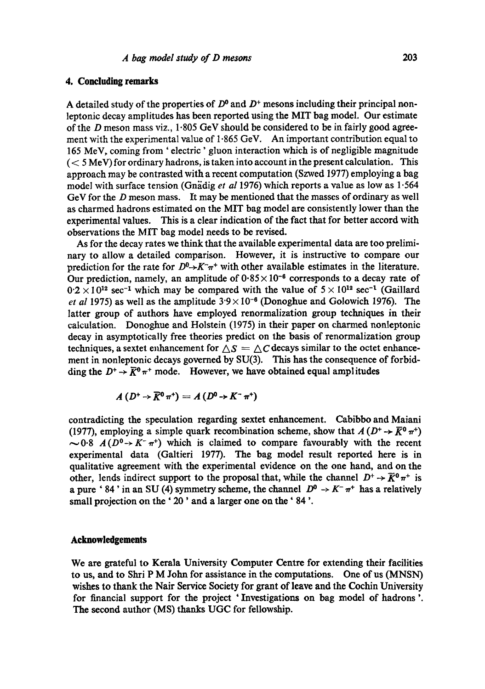# **4. Concluding remarks**

A detailed study of the properties of  $D^0$  and  $D^+$  mesons including their principal nonleptonic decay amplitudes has been reported using the MIT bag model. Our estimate of the D meson mass viz.,  $1.805$  GeV should be considered to be in fairly good agreement with the experimental value of  $1.865$  GeV. An important contribution equal to 165 MeV, coming from ' electric' gluon interaction which is of negligible magnitude  $(< 5$  MeV) for ordinary hadrons, is taken into account in the present calculation. This approach may be contrasted with a recent computation (Szwed 1977) employing a bag model with surface tension (Gnadig *et al* 1976) which reports a value as low as 1.564 GeV for the D meson mass. It may be mentioned that the masses of ordinary as well as charmed hadrons estimated on the MIT bag model are consistently lower than the experimental values. This is a clear indication of the fact that for better accord with observations the MIT bag model needs to be revised.

As for the decay rates we think that the available experimental data are too preliminary to allow a detailed comparison. However, it is instructive to compare our prediction for the rate for  $D^0 \rightarrow K^-\pi^+$  with other available estimates in the literature. Our prediction, namely, an amplitude of  $0.85 \times 10^{-6}$  corresponds to a decay rate of  $0.2 \times 10^{12}$  sec<sup>-1</sup> which may be compared with the value of  $5 \times 10^{12}$  sec<sup>-1</sup> (Gaillard *et al* 1975) as well as the amplitude  $3.9 \times 10^{-6}$  (Donoghue and Golowich 1976). The latter group of authors have employed renormalization group techniques in their calculation. Donoghue and Holstein 0975) in their paper on charmed nonleptonic decay in asymptotically free theories predict on the basis of renormalization group techniques, a sextet enhancement for  $\Delta S = \Delta C$  decays similar to the octet enhancement in nonleptonic decays governed by SU(3). This has the consequence of forbidding the  $D^+ \rightarrow \overline{K}^0 \pi^+$  mode. However, we have obtained equal amplitudes

$$
A(D^+\rightarrow \overline{K}^0 \pi^+) = A(D^0\rightarrow K^-\pi^+)
$$

contradicting the speculation regarding sextet enhancement. Cabibbo and Maiani (1977), employing a simple quark recombination scheme, show that  $A(D^+ \rightarrow \overline{K}^0 \pi^+)$  $\sim 0.8$  *A(D<sup>0</sup>->K<sup>-</sup>* $\pi$ *<sup>+</sup>)* which is claimed to compare favourably with the recent experimental data (Galtieri 1977). The bag model result reported here is in qualitative agreement with the experimental evidence on the one hand, and on the other, lends indirect support to the proposal that, while the channel  $D^+ \rightarrow \overline{K}^0 \pi^+$  is a pure '84' in an SU (4) symmetry scheme, the channel  $D^0 \rightarrow K^- \pi^+$  has a relatively small projection on the '20' and a larger one on the '84'.

#### **Acknowledgements**

We are grateful to Kerala University Computer Centre for extending their facilities to us, and to Shri P M John for assistance in the computations. One of us (MNSN) wishes to thank the Nair Service Society for grant of leave and the Cochin University for financial support for the project 'Investigations on bag model of hadrons' **The** second author (MS) thanks UGC for fellowship.